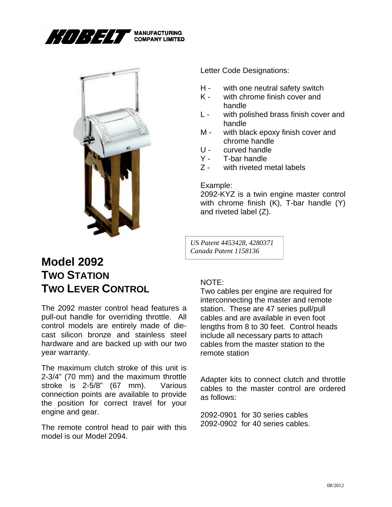



Letter Code Designations:

- H with one neutral safety switch
- K with chrome finish cover and handle
- L with polished brass finish cover and handle
- M with black epoxy finish cover and chrome handle
- U curved handle
- Y T-bar handle
- Z with riveted metal labels

Example:

2092-KYZ is a twin engine master control with chrome finish (K), T-bar handle (Y) and riveted label (Z).

*US Patent 4453428, 4280371 Canada Patent 1158136* 

## **Model 2092 TWO STATION TWO LEVER CONTROL**

The 2092 master control head features a pull-out handle for overriding throttle. All control models are entirely made of diecast silicon bronze and stainless steel hardware and are backed up with our two year warranty.

The maximum clutch stroke of this unit is 2-3/4" (70 mm) and the maximum throttle stroke is 2-5/8" (67 mm). Various connection points are available to provide the position for correct travel for your engine and gear.

The remote control head to pair with this model is our Model 2094.

## NOTE:

Two cables per engine are required for interconnecting the master and remote station. These are 47 series pull/pull cables and are available in even foot lengths from 8 to 30 feet. Control heads include all necessary parts to attach cables from the master station to the remote station

Adapter kits to connect clutch and throttle cables to the master control are ordered as follows:

2092-0901 for 30 series cables 2092-0902 for 40 series cables.